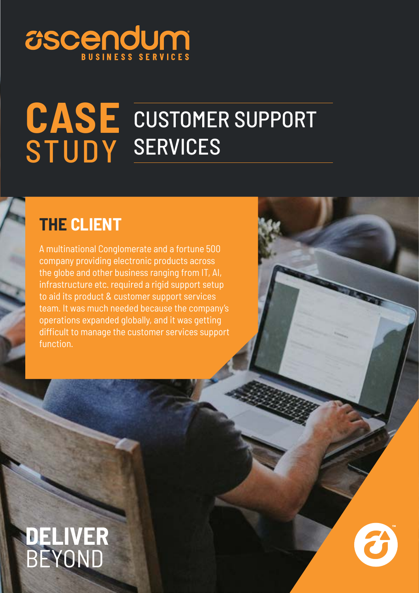# **USCENDUM**

#### **CASE** STUDY CUSTOMER SUPPORT SERVICES

### **THE CLIENT**

A multinational Conglomerate and a fortune 500 company providing electronic products across the globe and other business ranging from IT, AI, infrastructure etc. required a rigid support setup to aid its product & customer support services team. It was much needed because the company's operations expanded globally, and it was getting difficult to manage the customer services support function.

## **DELIVER** BEYOND

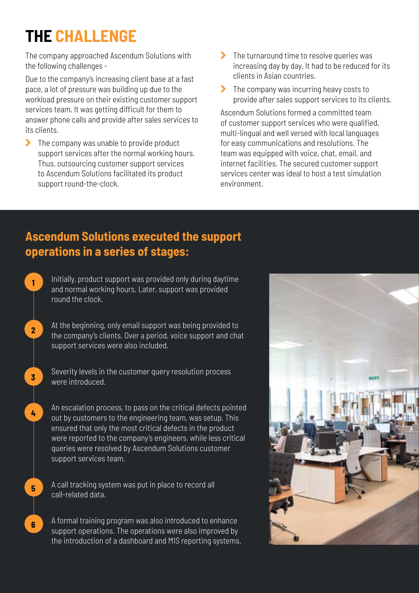## **THE CHALLENGE**

**1**

**2**

**3**

**4**

**5**

**6**

The company approached Ascendum Solutions with the following challenges -

Due to the company's increasing client base at a fast pace, a lot of pressure was building up due to the workload pressure on their existing customer support services team. It was getting difficult for them to answer phone calls and provide after sales services to its clients.

 $\sum$  The company was unable to provide product support services after the normal working hours. Thus, outsourcing customer support services to Ascendum Solutions facilitated its product support round-the-clock.

- $\blacktriangleright$  The turnaround time to resolve queries was increasing day by day. It had to be reduced for its clients in Asian countries.
- $\blacktriangleright$  The company was incurring heavy costs to provide after sales support services to its clients.

Ascendum Solutions formed a committed team of customer support services who were qualified, multi-lingual and well versed with local languages for easy communications and resolutions. The team was equipped with voice, chat, email, and internet facilities. The secured customer support services center was ideal to host a test simulation environment.

#### **Ascendum Solutions executed the support operations in a series of stages:**

Initially, product support was provided only during daytime and normal working hours. Later, support was provided round the clock.

At the beginning, only email support was being provided to the company's clients. Over a period, voice support and chat support services were also included.

Severity levels in the customer query resolution process were introduced.

An escalation process, to pass on the critical defects pointed out by customers to the engineering team, was setup. This ensured that only the most critical defects in the product were reported to the company's engineers, while less critical queries were resolved by Ascendum Solutions customer support services team.

A call tracking system was put in place to record all call-related data.

A formal training program was also introduced to enhance support operations. The operations were also improved by the introduction of a dashboard and MIS reporting systems.